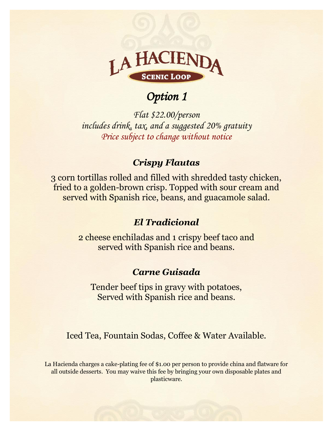

# *Option 1*

*Flat \$22.00/person includes drink, tax, and a suggested 20% gratuity Price subject to change without notice* 

#### *Crispy Flautas*

3 corn tortillas rolled and filled with shredded tasty chicken, fried to a golden-brown crisp. Topped with sour cream and served with Spanish rice, beans, and guacamole salad.

#### *El Tradicional*

2 cheese enchiladas and 1 crispy beef taco and served with Spanish rice and beans.

### *Carne Guisada*

Tender beef tips in gravy with potatoes, Served with Spanish rice and beans.

Iced Tea, Fountain Sodas, Coffee & Water Available.

La Hacienda charges a cake-plating fee of \$1.00 per person to provide china and flatware for all outside desserts. You may waive this fee by bringing your own disposable plates and plasticware.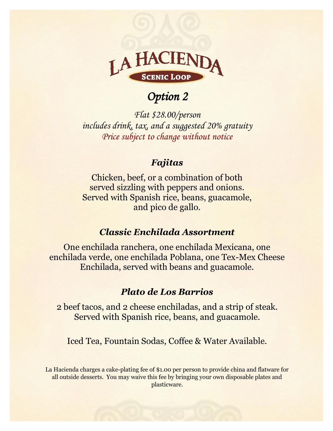

# *Option 2*

*Flat \$28.00/person includes drink, tax, and a suggested 20% gratuity Price subject to change without notice* 

#### *Fajitas*

Chicken, beef, or a combination of both served sizzling with peppers and onions. Served with Spanish rice, beans, guacamole, and pico de gallo.

#### *Classic Enchilada Assortment*

One enchilada ranchera, one enchilada Mexicana, one enchilada verde, one enchilada Poblana, one Tex-Mex Cheese Enchilada, served with beans and guacamole.

### *Plato de Los Barrios*

2 beef tacos, and 2 cheese enchiladas, and a strip of steak. Served with Spanish rice, beans, and guacamole.

Iced Tea, Fountain Sodas, Coffee & Water Available.

La Hacienda charges a cake-plating fee of \$1.00 per person to provide china and flatware for all outside desserts. You may waive this fee by bringing your own disposable plates and plasticware.